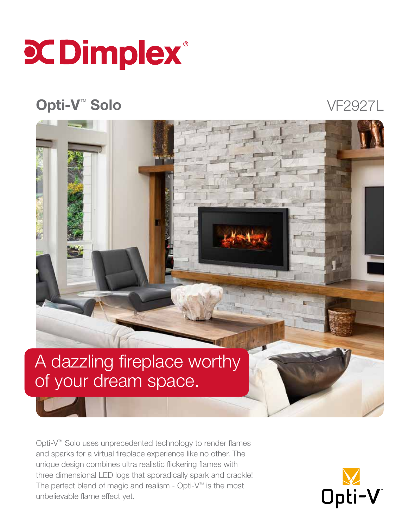

### Opti-V™ Solo

VF2927L

## A dazzling fireplace worthy of your dream space.

Opti-V™ Solo uses unprecedented technology to render flames and sparks for a virtual fireplace experience like no other. The unique design combines ultra realistic flickering flames with three dimensional LED logs that sporadically spark and crackle! The perfect blend of magic and realism - Opti-V™ is the most unbelievable flame effect yet.

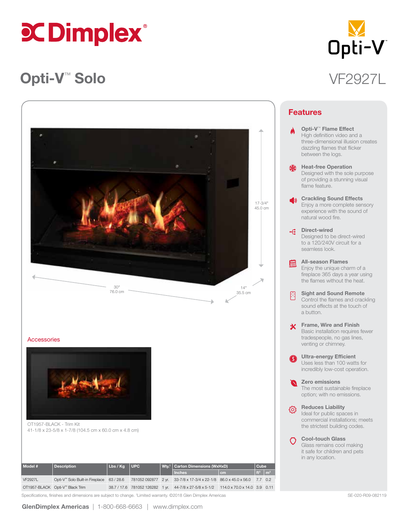# **CDimplex**®

### Opti-V™ Solo VF2927L



| Model #        | <b>Description</b>                        | Lbs / Kg | <b>NUPCA</b> | Wty. <sup>†</sup>   Carton Dimensions (WxHxD)                                        |    | Cube <sup>1</sup>         |  |
|----------------|-------------------------------------------|----------|--------------|--------------------------------------------------------------------------------------|----|---------------------------|--|
|                |                                           |          |              | <b>Inches</b>                                                                        | cm | $\text{H}^3$ $\text{m}^3$ |  |
| <b>VF2927L</b> | Opti-V™ Solo Built-in Fireplace 63 / 28.6 |          |              | 781052 092877 2 yr. 33-7/8 x 17-3/4 x 22-1/8 86.0 x 45.0 x 56.0 7.7 0.2              |    |                           |  |
|                | OT1957-BLACK Opti-V™ Black Trim           |          |              | 38.7 / 17.6 781052 126282 1 vr. 44-7/8 x 27-5/8 x 5-1/2 114.0 x 70.0 x 14.0 3.9 0.11 |    |                           |  |

Specifications, finishes and dimensions are subject to change. †Limited warranty. ©2018 Glen Dimplex Americas SE-020 FROS-082119 SE-020-R09-082119



|                      | Opti-V <sup>™</sup> Flame Effect<br>High definition video and a<br>three-dimensional illusion creates<br>dazzling flames that flicker<br>between the logs. |
|----------------------|------------------------------------------------------------------------------------------------------------------------------------------------------------|
| 鮝                    | <b>Heat-free Operation</b><br>Designed with the sole purpose<br>of providing a stunning visual<br>flame feature.                                           |
| $\blacktriangleleft$ | <b>Crackling Sound Effects</b><br>Enjoy a more complete sensory<br>experience with the sound of<br>natural wood fire.                                      |
| $\div$               | Direct-wired<br>Designed to be direct-wired<br>to a 120/240V circuit for a<br>seamless look.                                                               |
| 臝                    | <b>All-season Flames</b><br>Enjoy the unique charm of a<br>fireplace 365 days a year using<br>the flames without the heat.                                 |
| 用                    | <b>Sight and Sound Remote</b><br>Control the flames and crackling<br>sound effects at the touch of<br>a button.                                            |
| 氺                    | Frame, Wire and Finish<br>Basic installation requires fewer<br>tradespeople, no gas lines,<br>venting or chimney.                                          |
| $\bf{O}$             | <b>Ultra-energy Efficient</b><br>Uses less than 100 watts for<br>incredibly low-cost operation.                                                            |
| $\blacksquare$       | Zero emissions<br>The most sustainable fireplace<br>option; with no emissions.                                                                             |
| {ै                   | <b>Reduces Liability</b><br>Ideal for public spaces in<br>commercial installations; meets<br>the strictest building codes.                                 |
|                      | <b>Cool-touch Glass</b><br>Glass remains cool making<br>ومرام المالم الرميكي مكتمرة                                                                        |

Features

it safe for children and pets in any location.